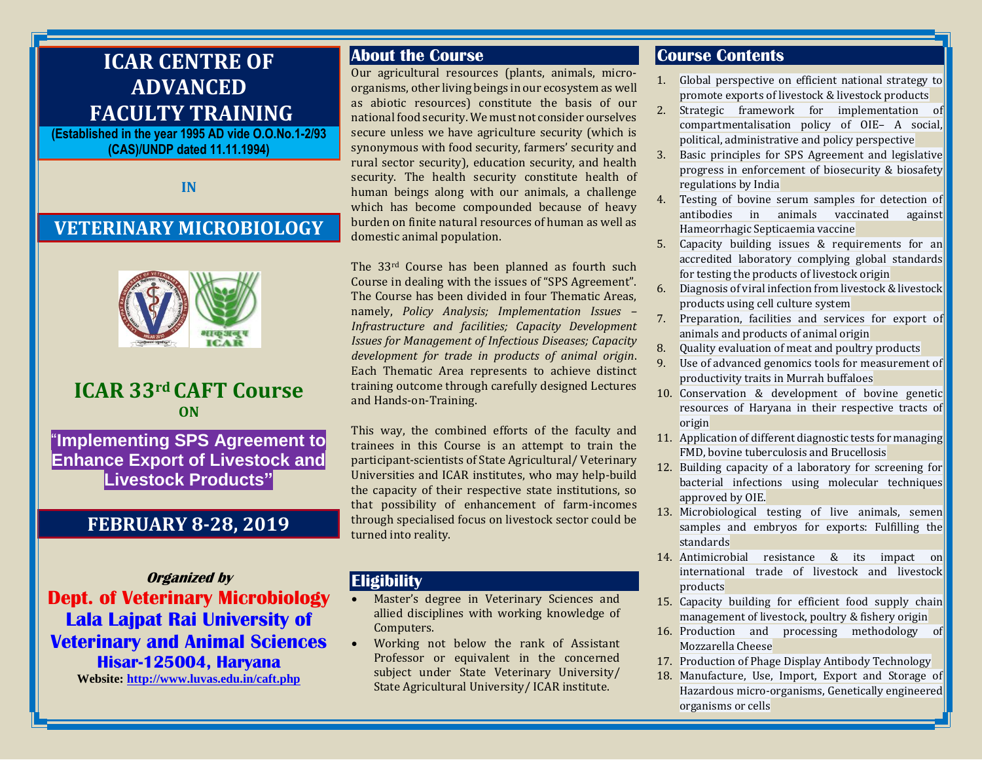# **ICAR CENTRE OF ADVANCED FACULTY TRAINING**

**(Established in the year 1995 AD vide O.O.No.1-2/93 (CAS)/UNDP dated 11.11.1994)**

**IN**

# **VETERINARY MICROBIOLOGY**



# **ICAR 33rd CAFT Course ON**

"**Implementing SPS Agreement to Enhance Export of Livestock and Livestock Products"**

## **FEBRUARY 8-28, 2019**

**Organized by Dept. of Veterinary Microbiology Lala Lajpat Rai University of Veterinary and Animal Sciences Hisar-125004, Haryana**

**Website:<http://www.luvas.edu.in/caft.php>**

### **About the Course**

Our agricultural resources (plants, animals, microorganisms, other living beings in our ecosystem as well as abiotic resources) constitute the basis of our national food security. We must not consider ourselves secure unless we have agriculture security (which is synonymous with food security, farmers' security and rural sector security), education security, and health security. The health security constitute health of human beings along with our animals, a challenge which has become compounded because of heavy burden on finite natural resources of human as well as domestic animal population.

The 33rd Course has been planned as fourth such Course in dealing with the issues of "SPS Agreement". The Course has been divided in four Thematic Areas, namely, *Policy Analysis; Implementation Issues – Infrastructure and facilities; Capacity Development Issues for Management of Infectious Diseases; Capacity development for trade in products of animal origin*. Each Thematic Area represents to achieve distinct training outcome through carefully designed Lectures and Hands-on-Training.

This way, the combined efforts of the faculty and trainees in this Course is an attempt to train the participant-scientists of State Agricultural/ Veterinary Universities and ICAR institutes, who may help-build the capacity of their respective state institutions, so that possibility of enhancement of farm-incomes through specialised focus on livestock sector could be turned into reality.

### **Eligibility**

- Master's degree in Veterinary Sciences and allied disciplines with working knowledge of Computers.
- Working not below the rank of Assistant Professor or equivalent in the concerned subject under State Veterinary University/ State Agricultural University/ ICAR institute.

### **Course Contents**

- 1. Global perspective on efficient national strategy to promote exports of livestock & livestock products
- 2. Strategic framework for implementation of compartmentalisation policy of OIE– A social, political, administrative and policy perspective
- 3. Basic principles for SPS Agreement and legislative progress in enforcement of biosecurity & biosafety regulations by India
- Testing of bovine serum samples for detection of antibodies in animals vaccinated against Hameorrhagic Septicaemia vaccine
- 5. Capacity building issues & requirements for an accredited laboratory complying global standards for testing the products of livestock origin
- 6. Diagnosis of viral infection from livestock & livestock products using cell culture system
- 7. Preparation, facilities and services for export of animals and products of animal origin
- 8. Quality evaluation of meat and poultry products
- 9. Use of advanced genomics tools for measurement of productivity traits in Murrah buffaloes
- 10. Conservation & development of bovine genetic resources of Haryana in their respective tracts of origin
- 11. Application of different diagnostic tests for managing FMD, bovine tuberculosis and Brucellosis
- 12. Building capacity of a laboratory for screening for bacterial infections using molecular techniques approved by OIE.
- 13. Microbiological testing of live animals, semen samples and embryos for exports: Fulfilling the standards
- 14. Antimicrobial resistance & its impact on international trade of livestock and livestock products
- 15. Capacity building for efficient food supply chain management of livestock, poultry & fishery origin
- 16. Production and processing methodology of Mozzarella Cheese
- 17. Production of Phage Display Antibody Technology
- 18. Manufacture, Use, Import, Export and Storage of Hazardous micro-organisms, Genetically engineered organisms or cells